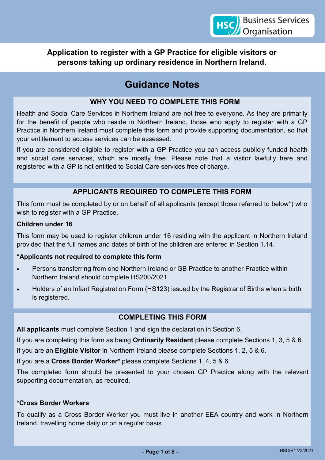**Application to register with a GP Practice for eligible visitors or persons taking up ordinary residence in Northern Ireland.**

# **Guidance Notes**

## **WHY YOU NEED TO COMPLETE THIS FORM**

Health and Social Care Services in Northern Ireland are not free to everyone. As they are primarily for the benefit of people who reside in Northern Ireland, those who apply to register with a GP Practice in Northern Ireland must complete this form and provide supporting documentation, so that your entitlement to access services can be assessed.

If you are considered eligible to register with a GP Practice you can access publicly funded health and social care services, which are mostly free. Please note that a visitor lawfully here and registered with a GP is not entitled to Social Care services free of charge.

## **APPLICANTS REQUIRED TO COMPLETE THIS FORM**

This form must be completed by or on behalf of all applicants (except those referred to below\*) who wish to register with a GP Practice.

#### **Children under 16**

This form may be used to register children under 16 residing with the applicant in Northern Ireland provided that the full names and dates of birth of the children are entered in Section 1.14.

### **\*Applicants not required to complete this form**

- Persons transferring from one Northern Ireland or GB Practice to another Practice within Northern Ireland should complete HS200/2021
- Holders of an Infant Registration Form (HS123) issued by the Registrar of Births when a birth is registered.

## **COMPLETING THIS FORM**

**All applicants** must complete Section 1 and sign the declaration in Section 6.

If you are completing this form as being **Ordinarily Resident** please complete Sections 1, 3, 5 & 6.

If you are an **Eligible Visitor** in Northern Ireland please complete Sections 1, 2, 5 & 6.

If you are a **Cross Border Worker**\* please complete Sections 1, 4, 5 & 6.

The completed form should be presented to your chosen GP Practice along with the relevant supporting documentation, as required.

#### **\*Cross Border Workers**

To qualify as a Cross Border Worker you must live in another EEA country and work in Northern Ireland, travelling home daily or on a regular basis.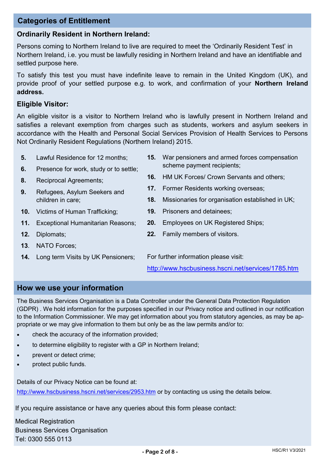## **Categories of Entitlement**

#### **Ordinarily Resident in Northern Ireland:**

Persons coming to Northern Ireland to live are required to meet the 'Ordinarily Resident Test' in Northern Ireland, i.e. you must be lawfully residing in Northern Ireland and have an identifiable and settled purpose here.

To satisfy this test you must have indefinite leave to remain in the United Kingdom (UK), and provide proof of your settled purpose e.g. to work, and confirmation of your **Northern Ireland address.** 

#### **Eligible Visitor:**

An eligible visitor is a visitor to Northern Ireland who is lawfully present in Northern Ireland and satisfies a relevant exemption from charges such as students, workers and asylum seekers in accordance with the Health and Personal Social Services Provision of Health Services to Persons Not Ordinarily Resident Regulations (Northern Ireland) 2015.

- **5.** Lawful Residence for 12 months;
- **6.** Presence for work, study or to settle;
- **8.** Reciprocal Agreements;
- **9.** Refugees, Asylum Seekers and children in care;
- **10.** Victims of Human Trafficking;
- **11.** Exceptional Humanitarian Reasons;
- **12.** Diplomats;
- **13**. NATO Forces;
- **14.** Long term Visits by UK Pensioners;
- **15.** War pensioners and armed forces compensation scheme payment recipients;
- **16.** HM UK Forces/ Crown Servants and others;
- **17.** Former Residents working overseas;
- **18.** Missionaries for organisation established in UK;
- **19.** Prisoners and detainees;
- **20.** Employees on UK Registered Ships;
- **22.** Family members of visitors.

For further information please visit:

<http://www.hscbusiness.hscni.net/services/1785.htm>

### **How we use your information**

The Business Services Organisation is a Data Controller under the General Data Protection Regulation (GDPR) . We hold information for the purposes specified in our Privacy notice and outlined in our notification to the Information Commissioner. We may get information about you from statutory agencies, as may be appropriate or we may give information to them but only be as the law permits and/or to:

- check the accuracy of the information provided;
- to determine eligibility to register with a GP in Northern Ireland;
- prevent or detect crime;
- protect public funds.

Details of our Privacy Notice can be found at:

[http://www.hscbusiness.hscni.net/services/2953.htm](https://hscbusiness.hscni.net/services/2953.htm) or by contacting us using the details below.

If you require assistance or have any queries about this form please contact:

Medical Registration Business Services Organisation Tel: 0300 555 0113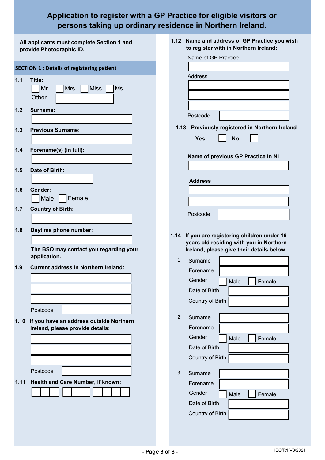## **Application to register with a GP Practice for eligible visitors or persons taking up ordinary residence in Northern Ireland.**

| All applicants must complete Section 1 and<br>provide Photographic ID. | 1.12 Name and address of GP Practice you wish<br>to register with in Northern Ireland: |
|------------------------------------------------------------------------|----------------------------------------------------------------------------------------|
|                                                                        | Name of GP Practice                                                                    |
| <b>SECTION 1 : Details of registering patient</b>                      |                                                                                        |
| 1.1<br>Title:                                                          | Address                                                                                |
| <b>Miss</b><br>Mr<br><b>Mrs</b>                                        | Ms                                                                                     |
| Other                                                                  |                                                                                        |
| $1.2$<br>Surname:                                                      |                                                                                        |
|                                                                        | Postcode                                                                               |
| <b>Previous Surname:</b>                                               | 1.13 Previously registered in Northern Ireland                                         |
| 1.3                                                                    | Yes<br><b>No</b>                                                                       |
|                                                                        |                                                                                        |
| 1.4<br>Forename(s) (in full):                                          | Name of previous GP Practice in NI                                                     |
|                                                                        |                                                                                        |
| Date of Birth:<br>1.5                                                  |                                                                                        |
|                                                                        | <b>Address</b>                                                                         |
| 1.6<br>Gender:                                                         |                                                                                        |
| Female<br>Male                                                         |                                                                                        |
| <b>Country of Birth:</b><br>1.7                                        | Postcode                                                                               |
|                                                                        |                                                                                        |
| 1.8<br>Daytime phone number:                                           | 1.14 If you are registering children under 16                                          |
|                                                                        | years old residing with you in Northern                                                |
| The BSO may contact you regarding your<br>application.                 | Ireland, please give their details below.                                              |
| <b>Current address in Northern Ireland:</b>                            | $\mathbf{1}$<br>Surname                                                                |
| 1.9                                                                    | Forename                                                                               |
|                                                                        | Gender<br>Male<br>Female                                                               |
|                                                                        | Date of Birth                                                                          |
|                                                                        | Country of Birth                                                                       |
| Postcode                                                               |                                                                                        |
| If you have an address outside Northern<br>1.10                        | $\overline{2}$<br>Surname                                                              |
| Ireland, please provide details:                                       | Forename                                                                               |
|                                                                        | Gender<br>Male<br>Female                                                               |
|                                                                        | Date of Birth                                                                          |
|                                                                        | Country of Birth                                                                       |
| Postcode                                                               | 3<br>Surname                                                                           |
| Health and Care Number, if known:<br>1.11                              | Forename                                                                               |
|                                                                        | Gender<br>Female<br>Male                                                               |
|                                                                        | Date of Birth                                                                          |
|                                                                        | Country of Birth                                                                       |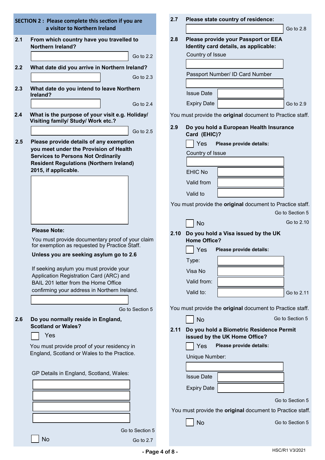|     | <b>SECTION 2: Please complete this section if you are</b>                                         | 2.7  | Please state country of residence:                                           |                 |
|-----|---------------------------------------------------------------------------------------------------|------|------------------------------------------------------------------------------|-----------------|
|     | a visitor to Northern Ireland                                                                     |      |                                                                              | Go to $2.8$     |
| 2.1 | From which country have you travelled to<br><b>Northern Ireland?</b>                              | 2.8  | Please provide your Passport or EEA<br>Identity card details, as applicable: |                 |
|     | Go to 2.2                                                                                         |      | Country of Issue                                                             |                 |
| 2.2 | What date did you arrive in Northern Ireland?                                                     |      |                                                                              |                 |
|     | Go to 2.3                                                                                         |      | Passport Number/ ID Card Number                                              |                 |
| 2.3 | What date do you intend to leave Northern<br>Ireland?                                             |      | <b>Issue Date</b>                                                            |                 |
|     | Go to $2.4$                                                                                       |      | <b>Expiry Date</b>                                                           | Go to 2.9       |
| 2.4 | What is the purpose of your visit e.g. Holiday/<br>Visiting family/ Study/ Work etc.?             |      | You must provide the original document to Practice staff.                    |                 |
|     | Go to 2.5                                                                                         | 2.9  | Do you hold a European Health Insurance<br>Card (EHIC)?                      |                 |
| 2.5 | Please provide details of any exemption                                                           |      | Yes<br>Please provide details:                                               |                 |
|     | you meet under the Provision of Health<br><b>Services to Persons Not Ordinarily</b>               |      | Country of Issue                                                             |                 |
|     | <b>Resident Regulations (Northern Ireland)</b>                                                    |      |                                                                              |                 |
|     | 2015, if applicable.                                                                              |      | <b>EHIC No</b>                                                               |                 |
|     |                                                                                                   |      | Valid from                                                                   |                 |
|     |                                                                                                   |      | Valid to                                                                     |                 |
|     |                                                                                                   |      | You must provide the original document to Practice staff.                    |                 |
|     |                                                                                                   |      |                                                                              | Go to Section 5 |
|     |                                                                                                   |      | <b>No</b>                                                                    | Go to 2.10      |
|     | <b>Please Note:</b>                                                                               | 2.10 | Do you hold a Visa issued by the UK                                          |                 |
|     | You must provide documentary proof of your claim<br>for exemption as requested by Practice Staff. |      | <b>Home Office?</b>                                                          |                 |
|     | Unless you are seeking asylum go to 2.6                                                           |      | Yes<br>Please provide details:                                               |                 |
|     | If seeking asylum you must provide your                                                           |      | Type:                                                                        |                 |
|     | Application Registration Card (ARC) and                                                           |      | Visa No                                                                      |                 |
|     | BAIL 201 letter from the Home Office<br>confirming your address in Northern Ireland.              |      | Valid from:                                                                  |                 |
|     |                                                                                                   |      | Valid to:                                                                    | Go to 2.11      |
|     | Go to Section 5                                                                                   |      | You must provide the original document to Practice staff.                    |                 |
| 2.6 | Do you normally reside in England,                                                                |      | <b>No</b>                                                                    | Go to Section 5 |
|     | <b>Scotland or Wales?</b>                                                                         | 2.11 | Do you hold a Biometric Residence Permit                                     |                 |
|     | Yes                                                                                               |      | issued by the UK Home Office?                                                |                 |
|     | You must provide proof of your residency in<br>England, Scotland or Wales to the Practice.        |      | Please provide details:<br>Yes                                               |                 |
|     |                                                                                                   |      | Unique Number:                                                               |                 |
|     | GP Details in England, Scotland, Wales:                                                           |      |                                                                              |                 |
|     |                                                                                                   |      | <b>Issue Date</b>                                                            |                 |
|     |                                                                                                   |      | <b>Expiry Date</b>                                                           |                 |
|     |                                                                                                   |      |                                                                              | Go to Section 5 |
|     |                                                                                                   |      | You must provide the original document to Practice staff.                    |                 |
|     |                                                                                                   |      | <b>No</b>                                                                    | Go to Section 5 |
|     | Go to Section 5                                                                                   |      |                                                                              |                 |
|     | <b>No</b><br>Go to 2.7                                                                            |      |                                                                              |                 |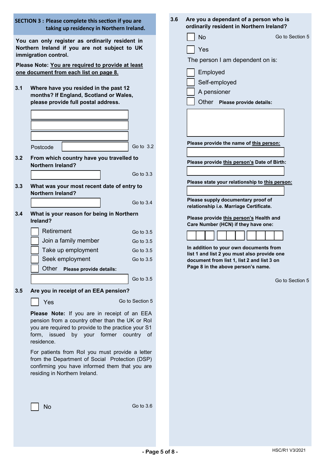|     | <b>SECTION 3 : Please complete this section if you are</b><br>taking up residency in Northern Ireland.                                                                                                                                                                                                                                                                                                                                        |  | 3.6<br>Are you a dependant of a person who is<br>ordinarily resident in Northern Ireland?                                                                                                                                           |  |
|-----|-----------------------------------------------------------------------------------------------------------------------------------------------------------------------------------------------------------------------------------------------------------------------------------------------------------------------------------------------------------------------------------------------------------------------------------------------|--|-------------------------------------------------------------------------------------------------------------------------------------------------------------------------------------------------------------------------------------|--|
| 3.1 | You can only register as ordinarily resident in<br>Northern Ireland if you are not subject to UK<br>immigration control.<br>Please Note: You are required to provide at least<br>one document from each list on page 8.<br>Where have you resided in the past 12<br>months? If England, Scotland or Wales,<br>please provide full postal address.                                                                                             |  | <b>No</b><br>Go to Section 5<br>Yes<br>The person I am dependent on is:<br>Employed<br>Self-employed<br>A pensioner<br>Other Please provide details:                                                                                |  |
| 3.2 | Go to 3.2<br>Postcode<br>From which country have you travelled to<br><b>Northern Ireland?</b>                                                                                                                                                                                                                                                                                                                                                 |  | Please provide the name of this person:<br>Please provide this person's Date of Birth:                                                                                                                                              |  |
| 3.3 | Go to 3.3<br>What was your most recent date of entry to                                                                                                                                                                                                                                                                                                                                                                                       |  | Please state your relationship to this person:                                                                                                                                                                                      |  |
| 3.4 | <b>Northern Ireland?</b><br>Go to 3.4<br>What is your reason for being in Northern<br>Ireland?                                                                                                                                                                                                                                                                                                                                                |  | Please supply documentary proof of<br>relationship i.e. Marriage Certificate.<br>Please provide this person's Health and                                                                                                            |  |
| 3.5 | Retirement<br>Go to 3.5<br>Join a family member<br>Go to 3.5<br>Take up employment<br>Go to 3.5<br>Seek employment<br>Go to 3.5<br>Other<br>Please provide details:<br>Go to 3.5<br>Are you in receipt of an EEA pension?                                                                                                                                                                                                                     |  | Care Number (HCN) if they have one:<br>In addition to your own documents from<br>list 1 and list 2 you must also provide one<br>document from list 1, list 2 and list 3 on<br>Page 8 in the above person's name.<br>Go to Section 5 |  |
|     | Go to Section 5<br>Yes<br>Please Note: If you are in receipt of an EEA<br>pension from a country other than the UK or Rol<br>you are required to provide to the practice your S1<br>form, issued by your former country of<br>residence.<br>For patients from RoI you must provide a letter<br>from the Department of Social Protection (DSP)<br>confirming you have informed them that you are<br>residing in Northern Ireland.<br>Go to 3.6 |  |                                                                                                                                                                                                                                     |  |
|     | No                                                                                                                                                                                                                                                                                                                                                                                                                                            |  |                                                                                                                                                                                                                                     |  |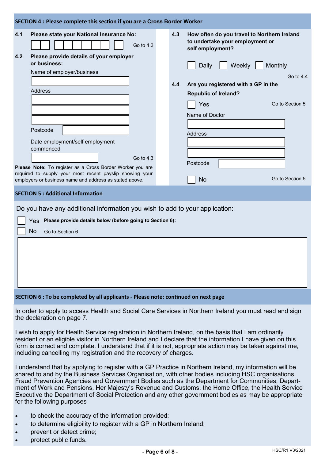| SECTION 4 : Please complete this section if you are a Cross Border Worker |                                                                                      |     |                                                                                                    |  |  |
|---------------------------------------------------------------------------|--------------------------------------------------------------------------------------|-----|----------------------------------------------------------------------------------------------------|--|--|
| 4.1                                                                       | Please state your National Insurance No:<br>Go to $4.2$                              | 4.3 | How often do you travel to Northern Ireland<br>to undertake your employment or<br>self employment? |  |  |
| 4.2                                                                       | Please provide details of your employer<br>or business:<br>Name of employer/business |     | Weekly<br>Monthly<br>Daily<br>$G_0$ to 44                                                          |  |  |
|                                                                           |                                                                                      | 4.4 | Are you registered with a GP in the                                                                |  |  |
|                                                                           | Address                                                                              |     |                                                                                                    |  |  |
|                                                                           |                                                                                      |     | <b>Republic of Ireland?</b>                                                                        |  |  |
|                                                                           |                                                                                      |     | Go to Section 5<br>Yes                                                                             |  |  |
|                                                                           |                                                                                      |     | Name of Doctor                                                                                     |  |  |
|                                                                           |                                                                                      |     |                                                                                                    |  |  |
|                                                                           | Postcode                                                                             |     | <b>Address</b>                                                                                     |  |  |
|                                                                           | Date employment/self employment                                                      |     |                                                                                                    |  |  |
|                                                                           | commenced                                                                            |     |                                                                                                    |  |  |
|                                                                           | Go to $4.3$                                                                          |     |                                                                                                    |  |  |
|                                                                           | Please Note: To register as a Cross Border Worker you are                            |     | Postcode                                                                                           |  |  |
|                                                                           | required to supply your most recent payslip showing your                             |     |                                                                                                    |  |  |
|                                                                           | employers or business name and address as stated above.                              |     | Go to Section 5<br>No                                                                              |  |  |
|                                                                           | <b>SECTION 5: Additional Information</b>                                             |     |                                                                                                    |  |  |

Do you have any additional information you wish to add to your application:

Yes **Please provide details below (before going to Section 6):** No Go to Section 6

#### **SECTION 6 : To be completed by all applicants - Please note: continued on next page**

In order to apply to access Health and Social Care Services in Northern Ireland you must read and sign the declaration on page 7.

I wish to apply for Health Service registration in Northern Ireland, on the basis that I am ordinarily resident or an eligible visitor in Northern Ireland and I declare that the information I have given on this form is correct and complete. I understand that if it is not, appropriate action may be taken against me, including cancelling my registration and the recovery of charges.

I understand that by applying to register with a GP Practice in Northern Ireland, my information will be shared to and by the Business Services Organisation, with other bodies including HSC organisations, Fraud Prevention Agencies and Government Bodies such as the Department for Communities, Department of Work and Pensions, Her Majesty's Revenue and Customs, the Home Office, the Health Service Executive the Department of Social Protection and any other government bodies as may be appropriate for the following purposes

- to check the accuracy of the information provided;
- to determine eligibility to register with a GP in Northern Ireland;
- prevent or detect crime;
- protect public funds.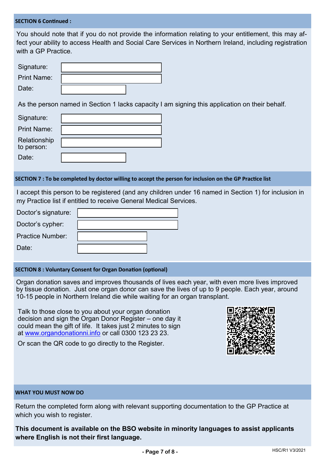#### **SECTION 6 Continued :**

You should note that if you do not provide the information relating to your entitlement, this may affect your ability to access Health and Social Care Services in Northern Ireland, including registration with a GP Practice.

| Signature:         |  |
|--------------------|--|
| <b>Print Name:</b> |  |
| Date:              |  |

As the person named in Section 1 lacks capacity I am signing this application on their behalf.

| Signature:                 |  |
|----------------------------|--|
| <b>Print Name:</b>         |  |
| Relationship<br>to person: |  |
| Date:                      |  |

#### **SECTION 7 : To be completed by doctor willing to accept the person for inclusion on the GP Practice list**

I accept this person to be registered (and any children under 16 named in Section 1) for inclusion in my Practice list if entitled to receive General Medical Services.

| Doctor's signature: |  |
|---------------------|--|
| Doctor's cypher:    |  |
| Practice Number:    |  |
| Date:               |  |

#### **SECTION 8 : Voluntary Consent for Organ Donation (optional)**

Organ donation saves and improves thousands of lives each year, with even more lives improved by tissue donation. Just one organ donor can save the lives of up to 9 people. Each year, around 10-15 people in Northern Ireland die while waiting for an organ transplant.

Talk to those close to you about your organ donation decision and sign the Organ Donor Register – one day it could mean the gift of life. It takes just 2 minutes to sign at [www.organdonationni.info](http://www.organdonationni.info) or call 0300 123 23 23.

Or scan the QR code to go directly to the Register.



#### **WHAT YOU MUST NOW DO**

Return the completed form along with relevant supporting documentation to the GP Practice at which you wish to register.

**This document is available on the BSO website in minority languages to assist applicants where English is not their first language.**